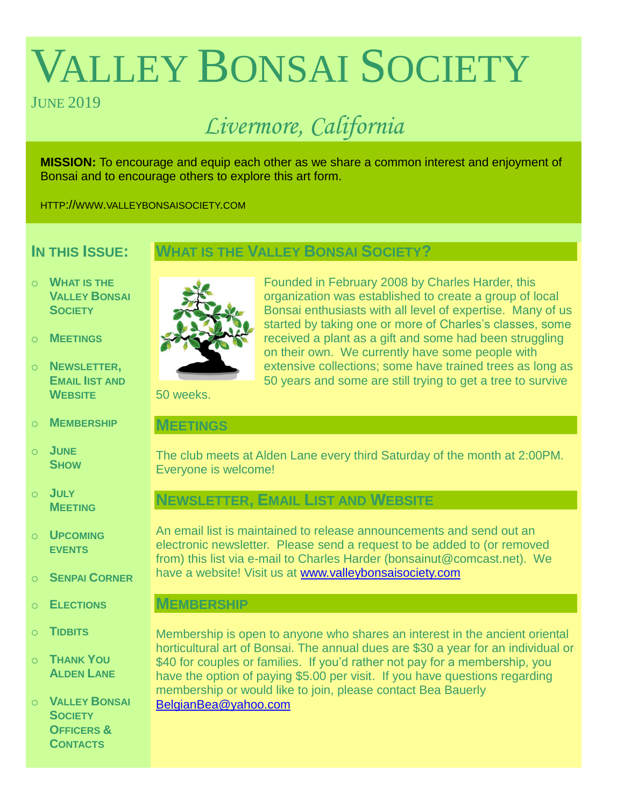# VALLEY BONSAI SOCIETY

# **JUNE 2019**

# *Livermore, California*

**MISSION:** To encourage and equip each other as we share a common interest and enjoyment of Bonsai and to encourage others to explore this art form.

HTTP://WWW.VALLEYBONSAISOCIETY.COM

# **IN THIS ISSUE:**

# **WHAT IS THE VALLEY BONSAI SOCIETY?**

- o **WHAT IS THE VALLEY BONSAI SOCIETY**
- o **MEETINGS**
- o **NEWSLETTER, EMAIL IIST AND WEBSITE**
- o **MEMBERSHIP**
- o **JUNE SHOW**
- o **JULY MEETING**
- o **UPCOMING EVENTS**
- o **SENPAI CORNER**
- o **ELECTIONS**
- o **TIDBITS**
- o **THANK YOU ALDEN LANE**

o **VALLEY BONSAI SOCIETY OFFICERS & CONTACTS**



Founded in February 2008 by Charles Harder, this organization was established to create a group of local Bonsai enthusiasts with all level of expertise. Many of us started by taking one or more of Charles's classes, some received a plant as a gift and some had been struggling on their own. We currently have some people with extensive collections; some have trained trees as long as 50 years and some are still trying to get a tree to survive

50 weeks.

### **MEETINGS**

The club meets at Alden Lane every third Saturday of the month at 2:00PM. Everyone is welcome!

# **NEWSLETTER, EMAIL LIST AND WEBSITE**

An email list is maintained to release announcements and send out an electronic newsletter. Please send a request to be added to (or removed from) this list via e-mail to Charles Harder (bonsainut@comcast.net). We have a website! Visit us at [www.valleybonsaisociety.com](http://www.valleybonsaisociety.com/)

# **MEMBERSHIP**

Membership is open to anyone who shares an interest in the ancient oriental horticultural art of Bonsai. The annual dues are \$30 a year for an individual or \$40 for couples or families. If you'd rather not pay for a membership, you have the option of paying \$5.00 per visit. If you have questions regarding membership or would like to join, please contact Bea Bauerly [BelgianBea@yahoo.com](mailto:BelgianBea@yahoo.com)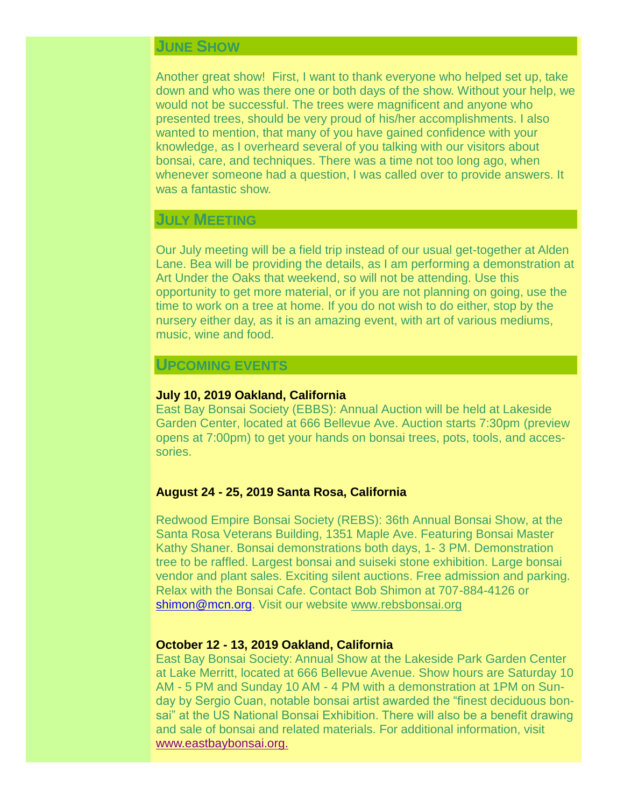# **JUNE SHOW**

Another great show! First, I want to thank everyone who helped set up, take down and who was there one or both days of the show. Without your help, we would not be successful. The trees were magnificent and anyone who presented trees, should be very proud of his/her accomplishments. I also wanted to mention, that many of you have gained confidence with your knowledge, as I overheard several of you talking with our visitors about bonsai, care, and techniques. There was a time not too long ago, when whenever someone had a question, I was called over to provide answers. It was a fantastic show.

# **JULY MEETING**

Our July meeting will be a field trip instead of our usual get-together at Alden Lane. Bea will be providing the details, as I am performing a demonstration at Art Under the Oaks that weekend, so will not be attending. Use this opportunity to get more material, or if you are not planning on going, use the time to work on a tree at home. If you do not wish to do either, stop by the nursery either day, as it is an amazing event, with art of various mediums, music, wine and food.

#### **UPCOMING EVENTS**

#### **July 10, 2019 Oakland, California**

East Bay Bonsai Society (EBBS): Annual Auction will be held at Lakeside Garden Center, located at 666 Bellevue Ave. Auction starts 7:30pm (preview opens at 7:00pm) to get your hands on bonsai trees, pots, tools, and accessories.

#### **August 24 - 25, 2019 Santa Rosa, California**

Redwood Empire Bonsai Society (REBS): 36th Annual Bonsai Show, at the Santa Rosa Veterans Building, 1351 Maple Ave. Featuring Bonsai Master Kathy Shaner. Bonsai demonstrations both days, 1- 3 PM. Demonstration tree to be raffled. Largest bonsai and suiseki stone exhibition. Large bonsai vendor and plant sales. Exciting silent auctions. Free admission and parking. Relax with the Bonsai Cafe. Contact Bob Shimon at 707-884-4126 or [shimon@mcn.org.](mailto:shimon@mcn.org) Visit our website [www.rebsbonsai.org](http://www.rebsbonsai.org/)

#### **October 12 - 13, 2019 Oakland, California**

East Bay Bonsai Society: Annual Show at the Lakeside Park Garden Center at Lake Merritt, located at 666 Bellevue Avenue. Show hours are Saturday 10 AM - 5 PM and Sunday 10 AM - 4 PM with a demonstration at 1PM on Sunday by Sergio Cuan, notable bonsai artist awarded the "finest deciduous bonsai" at the US National Bonsai Exhibition. There will also be a benefit drawing and sale of bonsai and related materials. For additional information, visit [www.eastbaybonsai.org.](http://www.eastbaybonsai.org./)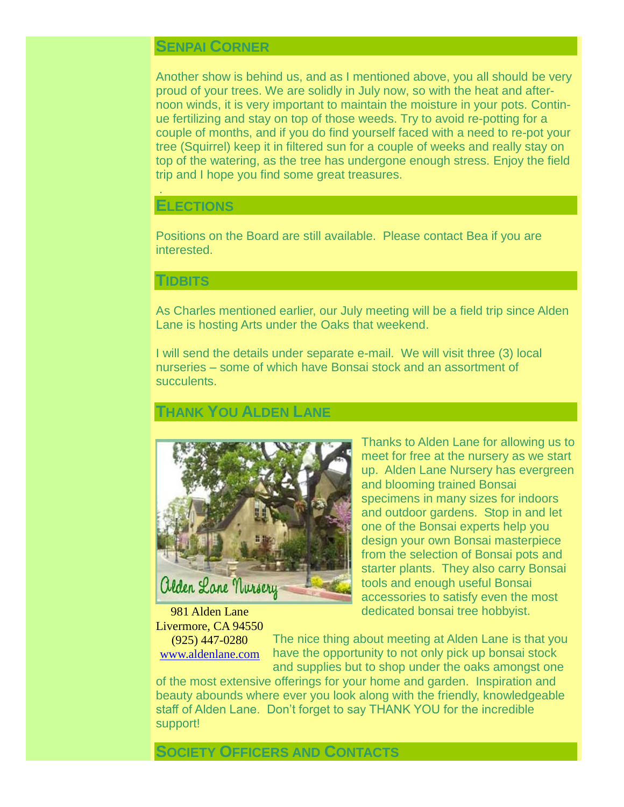# **SENPAI CORNER**

Another show is behind us, and as I mentioned above, you all should be very proud of your trees. We are solidly in July now, so with the heat and afternoon winds, it is very important to maintain the moisture in your pots. Continue fertilizing and stay on top of those weeds. Try to avoid re-potting for a couple of months, and if you do find yourself faced with a need to re-pot your tree (Squirrel) keep it in filtered sun for a couple of weeks and really stay on top of the watering, as the tree has undergone enough stress. Enjoy the field trip and I hope you find some great treasures.

#### **ELECTIONS**

.

Positions on the Board are still available. Please contact Bea if you are interested.

#### **TIDBITS**

As Charles mentioned earlier, our July meeting will be a field trip since Alden Lane is hosting Arts under the Oaks that weekend.

I will send the details under separate e-mail. We will visit three (3) local nurseries – some of which have Bonsai stock and an assortment of succulents.

# **THANK YOU ALDEN LANE**



Thanks to Alden Lane for allowing us to meet for free at the nursery as we start up. Alden Lane Nursery has evergreen and blooming trained Bonsai specimens in many sizes for indoors and outdoor gardens. Stop in and let one of the Bonsai experts help you design your own Bonsai masterpiece from the selection of Bonsai pots and starter plants. They also carry Bonsai tools and enough useful Bonsai accessories to satisfy even the most dedicated bonsai tree hobbyist.

981 Alden Lane Livermore, CA 94550

(925) 447-0280 [www.aldenlane.com](http://www.aldenlane.com/) The nice thing about meeting at Alden Lane is that you have the opportunity to not only pick up bonsai stock and supplies but to shop under the oaks amongst one

of the most extensive offerings for your home and garden. Inspiration and beauty abounds where ever you look along with the friendly, knowledgeable staff of Alden Lane. Don't forget to say THANK YOU for the incredible support!

#### **SOCIETY OFFICERS AND CONTACTS**